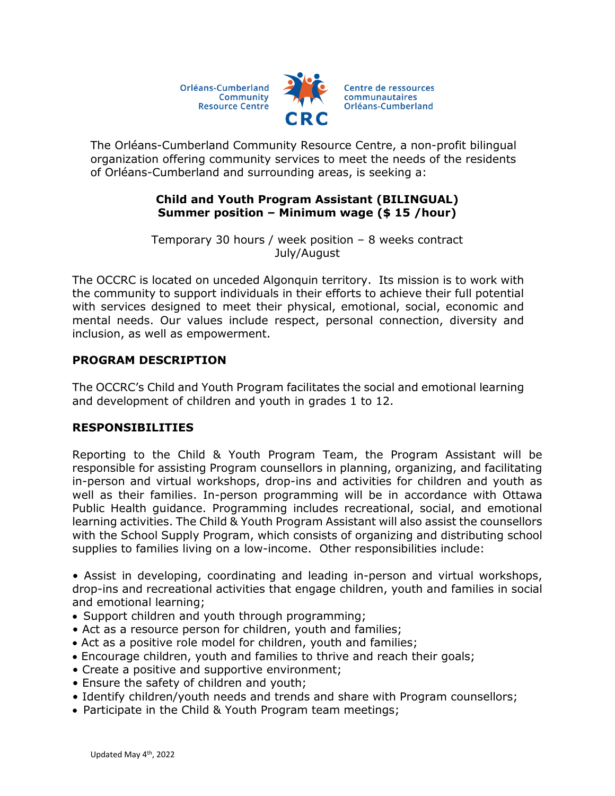Orléans-Cumberland Community **Resource Centre** 



The Orléans-Cumberland Community Resource Centre, a non-profit bilingual organization offering community services to meet the needs of the residents of Orléans-Cumberland and surrounding areas, is seeking a:

## **Child and Youth Program Assistant (BILINGUAL) Summer position – Minimum wage (\$ 15 /hour)**

Temporary 30 hours / week position – 8 weeks contract July/August

The OCCRC is located on unceded Algonquin territory. Its mission is to work with the community to support individuals in their efforts to achieve their full potential with services designed to meet their physical, emotional, social, economic and mental needs. Our values include respect, personal connection, diversity and inclusion, as well as empowerment.

# **PROGRAM DESCRIPTION**

The OCCRC's Child and Youth Program facilitates the social and emotional learning and development of children and youth in grades 1 to 12.

## **RESPONSIBILITIES**

Reporting to the Child & Youth Program Team, the Program Assistant will be responsible for assisting Program counsellors in planning, organizing, and facilitating in-person and virtual workshops, drop-ins and activities for children and youth as well as their families. In-person programming will be in accordance with Ottawa Public Health guidance. Programming includes recreational, social, and emotional learning activities. The Child & Youth Program Assistant will also assist the counsellors with the School Supply Program, which consists of organizing and distributing school supplies to families living on a low-income. Other responsibilities include:

• Assist in developing, coordinating and leading in-person and virtual workshops, drop-ins and recreational activities that engage children, youth and families in social and emotional learning;

- Support children and youth through programming;
- Act as a resource person for children, youth and families;
- Act as a positive role model for children, youth and families;
- Encourage children, youth and families to thrive and reach their goals;
- Create a positive and supportive environment;
- Ensure the safety of children and youth;
- Identify children/youth needs and trends and share with Program counsellors;
- Participate in the Child & Youth Program team meetings;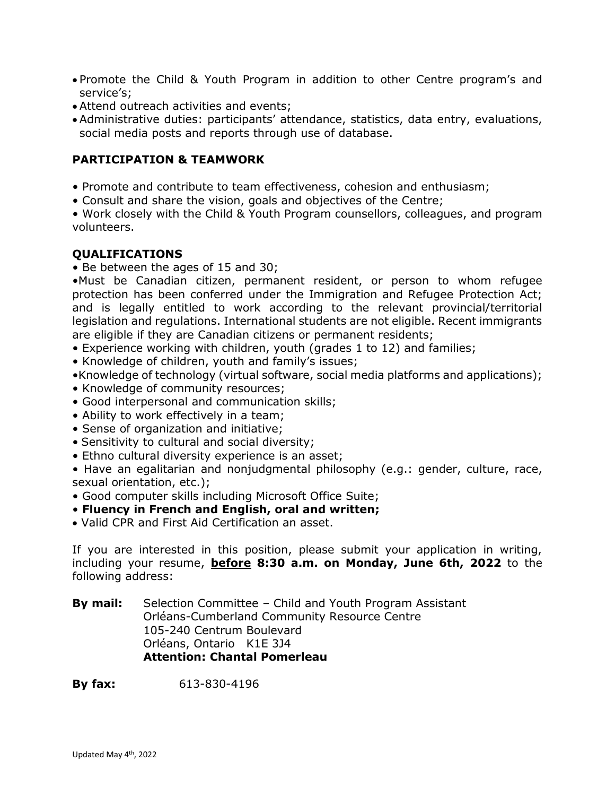- Promote the Child & Youth Program in addition to other Centre program's and service's;
- Attend outreach activities and events;
- Administrative duties: participants' attendance, statistics, data entry, evaluations, social media posts and reports through use of database.

### **PARTICIPATION & TEAMWORK**

- Promote and contribute to team effectiveness, cohesion and enthusiasm;
- Consult and share the vision, goals and objectives of the Centre;

• Work closely with the Child & Youth Program counsellors, colleagues, and program volunteers.

### **QUALIFICATIONS**

• Be between the ages of 15 and 30;

•Must be Canadian citizen, permanent resident, or person to whom refugee protection has been conferred under the Immigration and Refugee Protection Act; and is legally entitled to work according to the relevant provincial/territorial legislation and regulations. International students are not eligible. Recent immigrants are eligible if they are Canadian citizens or permanent residents;

- Experience working with children, youth (grades 1 to 12) and families;
- Knowledge of children, youth and family's issues;
- •Knowledge of technology (virtual software, social media platforms and applications);
- Knowledge of community resources;
- Good interpersonal and communication skills;
- Ability to work effectively in a team;
- Sense of organization and initiative;
- Sensitivity to cultural and social diversity;
- Ethno cultural diversity experience is an asset;

• Have an egalitarian and nonjudgmental philosophy (e.g.: gender, culture, race, sexual orientation, etc.);

- Good computer skills including Microsoft Office Suite;
- **Fluency in French and English, oral and written;**
- Valid CPR and First Aid Certification an asset.

If you are interested in this position, please submit your application in writing, including your resume, **before 8:30 a.m. on Monday, June 6th, 2022** to the following address:

**By mail:** Selection Committee – Child and Youth Program Assistant Orléans-Cumberland Community Resource Centre 105-240 Centrum Boulevard Orléans, Ontario K1E 3J4 **Attention: Chantal Pomerleau** 

**By fax:** 613-830-4196